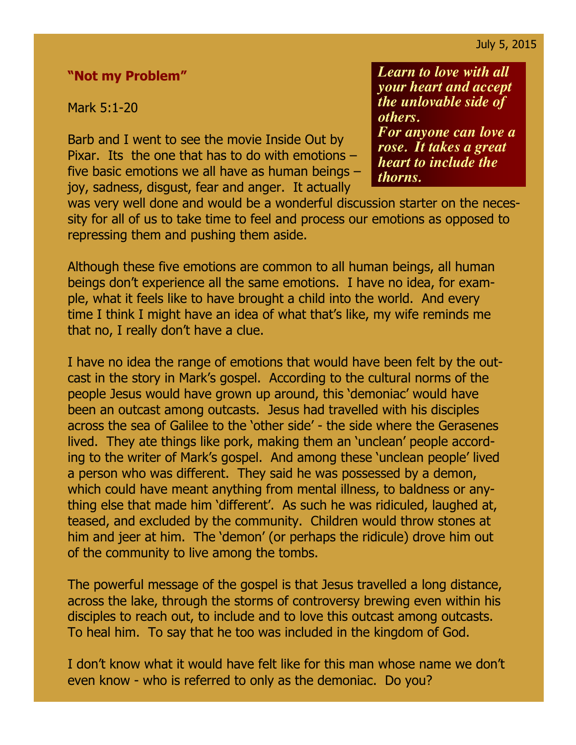## **"Not my Problem"**

Mark 5:1-20

Barb and I went to see the movie Inside Out by Pixar. Its the one that has to do with emotions – five basic emotions we all have as human beings – joy, sadness, disgust, fear and anger. It actually

*Learn to love with all your heart and accept the unlovable side of others. For anyone can love a rose. It takes a great heart to include the thorns.*

was very well done and would be a wonderful discussion starter on the necessity for all of us to take time to feel and process our emotions as opposed to repressing them and pushing them aside.

Although these five emotions are common to all human beings, all human beings don't experience all the same emotions. I have no idea, for example, what it feels like to have brought a child into the world. And every time I think I might have an idea of what that's like, my wife reminds me that no, I really don't have a clue.

I have no idea the range of emotions that would have been felt by the outcast in the story in Mark's gospel. According to the cultural norms of the people Jesus would have grown up around, this 'demoniac' would have been an outcast among outcasts. Jesus had travelled with his disciples across the sea of Galilee to the 'other side' - the side where the Gerasenes lived. They ate things like pork, making them an 'unclean' people according to the writer of Mark's gospel. And among these 'unclean people' lived a person who was different. They said he was possessed by a demon, which could have meant anything from mental illness, to baldness or anything else that made him 'different'. As such he was ridiculed, laughed at, teased, and excluded by the community. Children would throw stones at him and jeer at him. The 'demon' (or perhaps the ridicule) drove him out of the community to live among the tombs.

The powerful message of the gospel is that Jesus travelled a long distance, across the lake, through the storms of controversy brewing even within his disciples to reach out, to include and to love this outcast among outcasts. To heal him. To say that he too was included in the kingdom of God.

I don't know what it would have felt like for this man whose name we don't even know - who is referred to only as the demoniac. Do you?